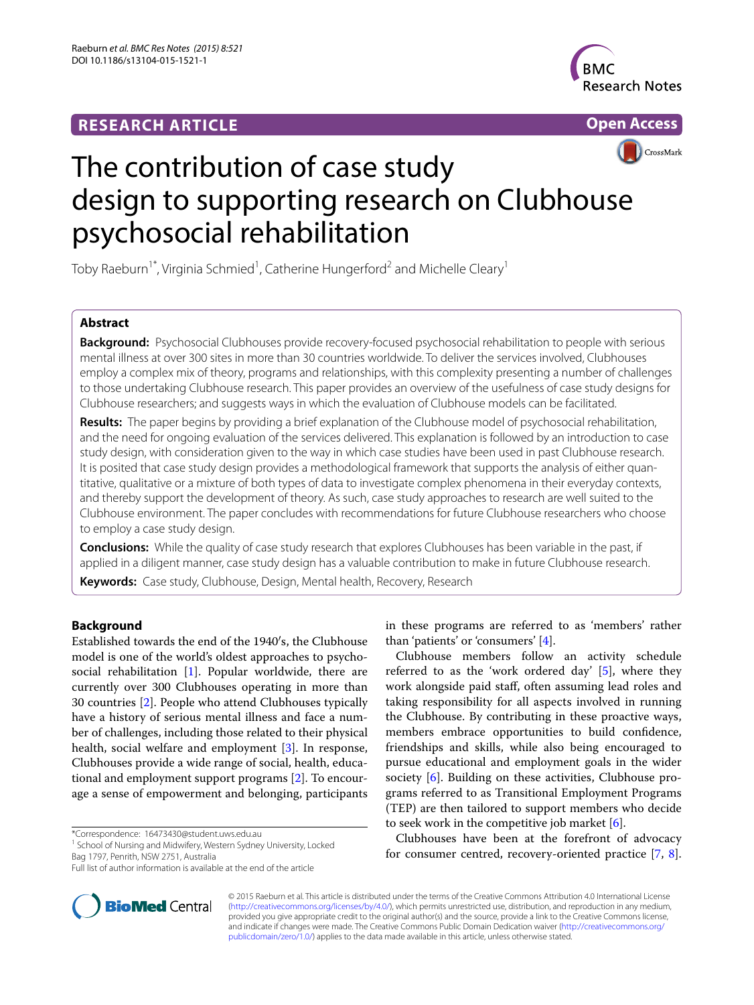# **RESEARCH ARTICLE**





# The contribution of case study design to supporting research on Clubhouse psychosocial rehabilitation

Toby Raeburn<sup>1\*</sup>, Virginia Schmied<sup>1</sup>, Catherine Hungerford<sup>2</sup> and Michelle Cleary<sup>1</sup>

# **Abstract**

**Background:** Psychosocial Clubhouses provide recovery-focused psychosocial rehabilitation to people with serious mental illness at over 300 sites in more than 30 countries worldwide. To deliver the services involved, Clubhouses employ a complex mix of theory, programs and relationships, with this complexity presenting a number of challenges to those undertaking Clubhouse research. This paper provides an overview of the usefulness of case study designs for Clubhouse researchers; and suggests ways in which the evaluation of Clubhouse models can be facilitated.

**Results:** The paper begins by providing a brief explanation of the Clubhouse model of psychosocial rehabilitation, and the need for ongoing evaluation of the services delivered. This explanation is followed by an introduction to case study design, with consideration given to the way in which case studies have been used in past Clubhouse research. It is posited that case study design provides a methodological framework that supports the analysis of either quantitative, qualitative or a mixture of both types of data to investigate complex phenomena in their everyday contexts, and thereby support the development of theory. As such, case study approaches to research are well suited to the Clubhouse environment. The paper concludes with recommendations for future Clubhouse researchers who choose to employ a case study design.

**Conclusions:** While the quality of case study research that explores Clubhouses has been variable in the past, if applied in a diligent manner, case study design has a valuable contribution to make in future Clubhouse research.

**Keywords:** Case study, Clubhouse, Design, Mental health, Recovery, Research

# **Background**

Established towards the end of the 1940′s, the Clubhouse model is one of the world's oldest approaches to psychosocial rehabilitation  $[1]$  $[1]$  $[1]$ . Popular worldwide, there are currently over 300 Clubhouses operating in more than 30 countries [\[2](#page-5-1)]. People who attend Clubhouses typically have a history of serious mental illness and face a number of challenges, including those related to their physical health, social welfare and employment [[3](#page-5-2)]. In response, Clubhouses provide a wide range of social, health, educational and employment support programs [[2\]](#page-5-1). To encourage a sense of empowerment and belonging, participants

\*Correspondence: 16473430@student.uws.edu.au

<sup>1</sup> School of Nursing and Midwifery, Western Sydney University, Locked Bag 1797, Penrith, NSW 2751, Australia

Full list of author information is available at the end of the article



in these programs are referred to as 'members' rather than 'patients' or 'consumers' [[4\]](#page-5-3).

Clubhouse members follow an activity schedule referred to as the 'work ordered day' [[5\]](#page-5-4), where they work alongside paid staff, often assuming lead roles and taking responsibility for all aspects involved in running the Clubhouse. By contributing in these proactive ways, members embrace opportunities to build confidence, friendships and skills, while also being encouraged to pursue educational and employment goals in the wider society [[6\]](#page-5-5). Building on these activities, Clubhouse programs referred to as Transitional Employment Programs (TEP) are then tailored to support members who decide to seek work in the competitive job market [\[6](#page-5-5)].

Clubhouses have been at the forefront of advocacy for consumer centred, recovery-oriented practice [[7](#page-5-6), [8](#page-5-7)].

© 2015 Raeburn et al. This article is distributed under the terms of the Creative Commons Attribution 4.0 International License [\(http://creativecommons.org/licenses/by/4.0/\)](http://creativecommons.org/licenses/by/4.0/), which permits unrestricted use, distribution, and reproduction in any medium, provided you give appropriate credit to the original author(s) and the source, provide a link to the Creative Commons license, and indicate if changes were made. The Creative Commons Public Domain Dedication waiver ([http://creativecommons.org/](http://creativecommons.org/publicdomain/zero/1.0/) [publicdomain/zero/1.0/](http://creativecommons.org/publicdomain/zero/1.0/)) applies to the data made available in this article, unless otherwise stated.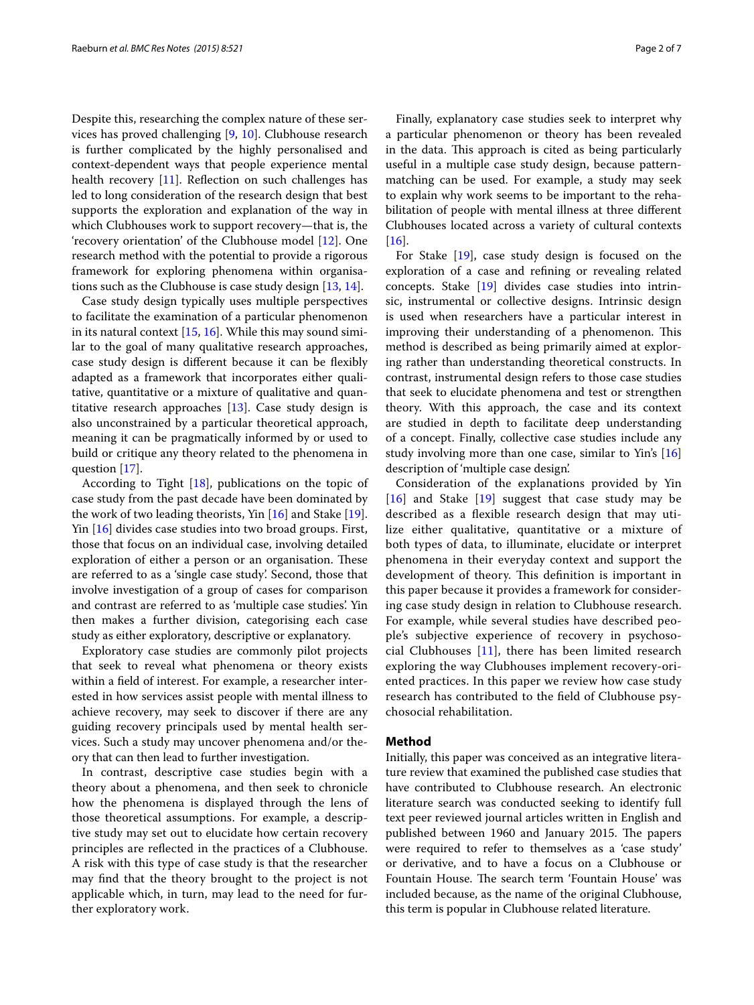Despite this, researching the complex nature of these services has proved challenging [[9,](#page-5-8) [10\]](#page-5-9). Clubhouse research is further complicated by the highly personalised and context-dependent ways that people experience mental health recovery [[11](#page-5-10)]. Reflection on such challenges has led to long consideration of the research design that best supports the exploration and explanation of the way in which Clubhouses work to support recovery—that is, the 'recovery orientation' of the Clubhouse model [\[12](#page-5-11)]. One research method with the potential to provide a rigorous framework for exploring phenomena within organisations such as the Clubhouse is case study design [[13,](#page-5-12) [14\]](#page-5-13).

Case study design typically uses multiple perspectives to facilitate the examination of a particular phenomenon in its natural context [\[15](#page-5-14), [16\]](#page-5-15). While this may sound similar to the goal of many qualitative research approaches, case study design is different because it can be flexibly adapted as a framework that incorporates either qualitative, quantitative or a mixture of qualitative and quantitative research approaches [[13](#page-5-12)]. Case study design is also unconstrained by a particular theoretical approach, meaning it can be pragmatically informed by or used to build or critique any theory related to the phenomena in question [[17](#page-5-16)].

According to Tight [[18](#page-5-17)], publications on the topic of case study from the past decade have been dominated by the work of two leading theorists, Yin [[16\]](#page-5-15) and Stake [\[19](#page-5-18)]. Yin [[16\]](#page-5-15) divides case studies into two broad groups. First, those that focus on an individual case, involving detailed exploration of either a person or an organisation. These are referred to as a 'single case study'. Second, those that involve investigation of a group of cases for comparison and contrast are referred to as 'multiple case studies'. Yin then makes a further division, categorising each case study as either exploratory, descriptive or explanatory.

Exploratory case studies are commonly pilot projects that seek to reveal what phenomena or theory exists within a field of interest. For example, a researcher interested in how services assist people with mental illness to achieve recovery, may seek to discover if there are any guiding recovery principals used by mental health services. Such a study may uncover phenomena and/or theory that can then lead to further investigation.

In contrast, descriptive case studies begin with a theory about a phenomena, and then seek to chronicle how the phenomena is displayed through the lens of those theoretical assumptions. For example, a descriptive study may set out to elucidate how certain recovery principles are reflected in the practices of a Clubhouse. A risk with this type of case study is that the researcher may find that the theory brought to the project is not applicable which, in turn, may lead to the need for further exploratory work.

Finally, explanatory case studies seek to interpret why a particular phenomenon or theory has been revealed in the data. This approach is cited as being particularly useful in a multiple case study design, because patternmatching can be used. For example, a study may seek to explain why work seems to be important to the rehabilitation of people with mental illness at three different Clubhouses located across a variety of cultural contexts  $[16]$  $[16]$ .

For Stake [\[19](#page-5-18)], case study design is focused on the exploration of a case and refining or revealing related concepts. Stake [[19\]](#page-5-18) divides case studies into intrinsic, instrumental or collective designs. Intrinsic design is used when researchers have a particular interest in improving their understanding of a phenomenon. This method is described as being primarily aimed at exploring rather than understanding theoretical constructs. In contrast, instrumental design refers to those case studies that seek to elucidate phenomena and test or strengthen theory. With this approach, the case and its context are studied in depth to facilitate deep understanding of a concept. Finally, collective case studies include any study involving more than one case, similar to Yin's [[16](#page-5-15)] description of 'multiple case design'.

Consideration of the explanations provided by Yin [[16](#page-5-15)] and Stake [[19\]](#page-5-18) suggest that case study may be described as a flexible research design that may utilize either qualitative, quantitative or a mixture of both types of data, to illuminate, elucidate or interpret phenomena in their everyday context and support the development of theory. This definition is important in this paper because it provides a framework for considering case study design in relation to Clubhouse research. For example, while several studies have described people's subjective experience of recovery in psychosocial Clubhouses [\[11](#page-5-10)], there has been limited research exploring the way Clubhouses implement recovery-oriented practices. In this paper we review how case study research has contributed to the field of Clubhouse psychosocial rehabilitation.

## **Method**

Initially, this paper was conceived as an integrative literature review that examined the published case studies that have contributed to Clubhouse research. An electronic literature search was conducted seeking to identify full text peer reviewed journal articles written in English and published between 1960 and January 2015. The papers were required to refer to themselves as a 'case study' or derivative, and to have a focus on a Clubhouse or Fountain House. The search term 'Fountain House' was included because, as the name of the original Clubhouse, this term is popular in Clubhouse related literature.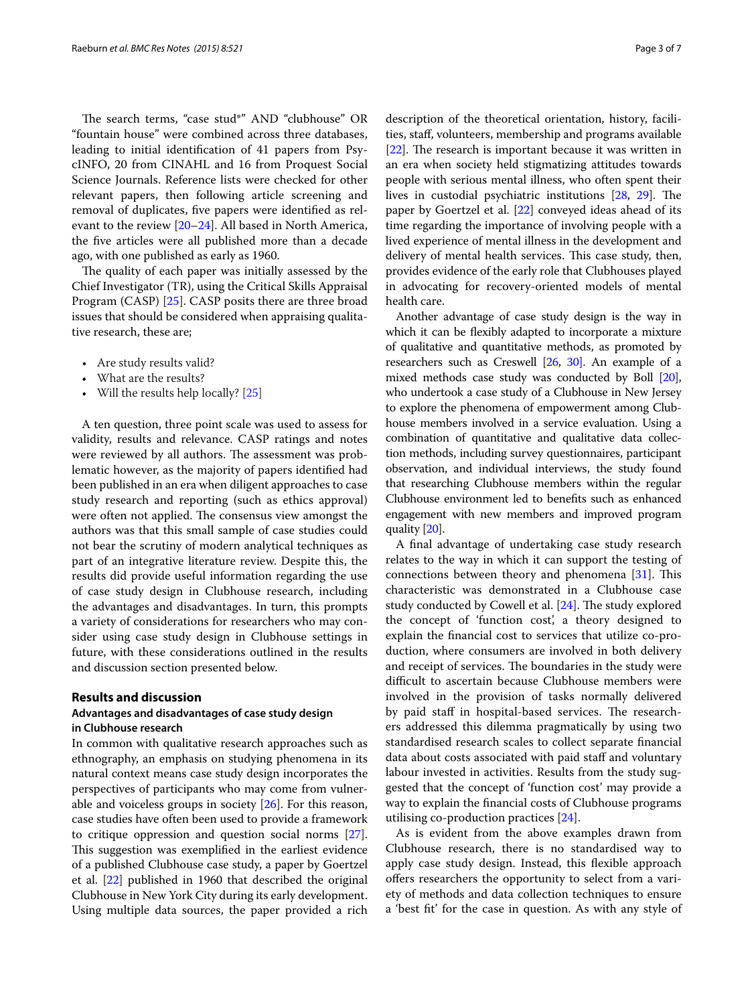The search terms, "case stud\*" AND "clubhouse" OR "fountain house" were combined across three databases, leading to initial identification of 41 papers from PsycINFO, 20 from CINAHL and 16 from Proquest Social Science Journals. Reference lists were checked for other relevant papers, then following article screening and removal of duplicates, five papers were identified as relevant to the review [[20–](#page-5-19)[24](#page-5-20)]. All based in North America, the five articles were all published more than a decade ago, with one published as early as 1960.

The quality of each paper was initially assessed by the Chief Investigator (TR), using the Critical Skills Appraisal Program (CASP) [[25\]](#page-5-21). CASP posits there are three broad issues that should be considered when appraising qualitative research, these are;

- Are study results valid?
- What are the results?
- Will the results help locally? [[25](#page-5-21)]

A ten question, three point scale was used to assess for validity, results and relevance. CASP ratings and notes were reviewed by all authors. The assessment was problematic however, as the majority of papers identified had been published in an era when diligent approaches to case study research and reporting (such as ethics approval) were often not applied. The consensus view amongst the authors was that this small sample of case studies could not bear the scrutiny of modern analytical techniques as part of an integrative literature review. Despite this, the results did provide useful information regarding the use of case study design in Clubhouse research, including the advantages and disadvantages. In turn, this prompts a variety of considerations for researchers who may consider using case study design in Clubhouse settings in future, with these considerations outlined in the results and discussion section presented below.

## **Results and discussion**

# **Advantages and disadvantages of case study design in Clubhouse research**

In common with qualitative research approaches such as ethnography, an emphasis on studying phenomena in its natural context means case study design incorporates the perspectives of participants who may come from vulnerable and voiceless groups in society [[26](#page-5-22)]. For this reason, case studies have often been used to provide a framework to critique oppression and question social norms [\[27](#page-5-23)]. This suggestion was exemplified in the earliest evidence of a published Clubhouse case study, a paper by Goertzel et al. [\[22](#page-5-24)] published in 1960 that described the original Clubhouse in New York City during its early development. Using multiple data sources, the paper provided a rich

description of the theoretical orientation, history, facilities, staff, volunteers, membership and programs available [[22\]](#page-5-24). The research is important because it was written in an era when society held stigmatizing attitudes towards people with serious mental illness, who often spent their lives in custodial psychiatric institutions [\[28,](#page-5-25) [29\]](#page-5-26). The paper by Goertzel et al. [\[22\]](#page-5-24) conveyed ideas ahead of its time regarding the importance of involving people with a lived experience of mental illness in the development and delivery of mental health services. This case study, then, provides evidence of the early role that Clubhouses played in advocating for recovery-oriented models of mental health care.

Another advantage of case study design is the way in which it can be flexibly adapted to incorporate a mixture of qualitative and quantitative methods, as promoted by researchers such as Creswell [[26](#page-5-22), [30\]](#page-5-27). An example of a mixed methods case study was conducted by Boll [[20](#page-5-19)], who undertook a case study of a Clubhouse in New Jersey to explore the phenomena of empowerment among Clubhouse members involved in a service evaluation. Using a combination of quantitative and qualitative data collection methods, including survey questionnaires, participant observation, and individual interviews, the study found that researching Clubhouse members within the regular Clubhouse environment led to benefits such as enhanced engagement with new members and improved program quality [\[20](#page-5-19)].

A final advantage of undertaking case study research relates to the way in which it can support the testing of connections between theory and phenomena [\[31\]](#page-5-28). This characteristic was demonstrated in a Clubhouse case study conducted by Cowell et al. [[24\]](#page-5-20). The study explored the concept of 'function cost', a theory designed to explain the financial cost to services that utilize co-production, where consumers are involved in both delivery and receipt of services. The boundaries in the study were difficult to ascertain because Clubhouse members were involved in the provision of tasks normally delivered by paid staff in hospital-based services. The researchers addressed this dilemma pragmatically by using two standardised research scales to collect separate financial data about costs associated with paid staff and voluntary labour invested in activities. Results from the study suggested that the concept of 'function cost' may provide a way to explain the financial costs of Clubhouse programs utilising co-production practices [\[24](#page-5-20)].

As is evident from the above examples drawn from Clubhouse research, there is no standardised way to apply case study design. Instead, this flexible approach offers researchers the opportunity to select from a variety of methods and data collection techniques to ensure a 'best fit' for the case in question. As with any style of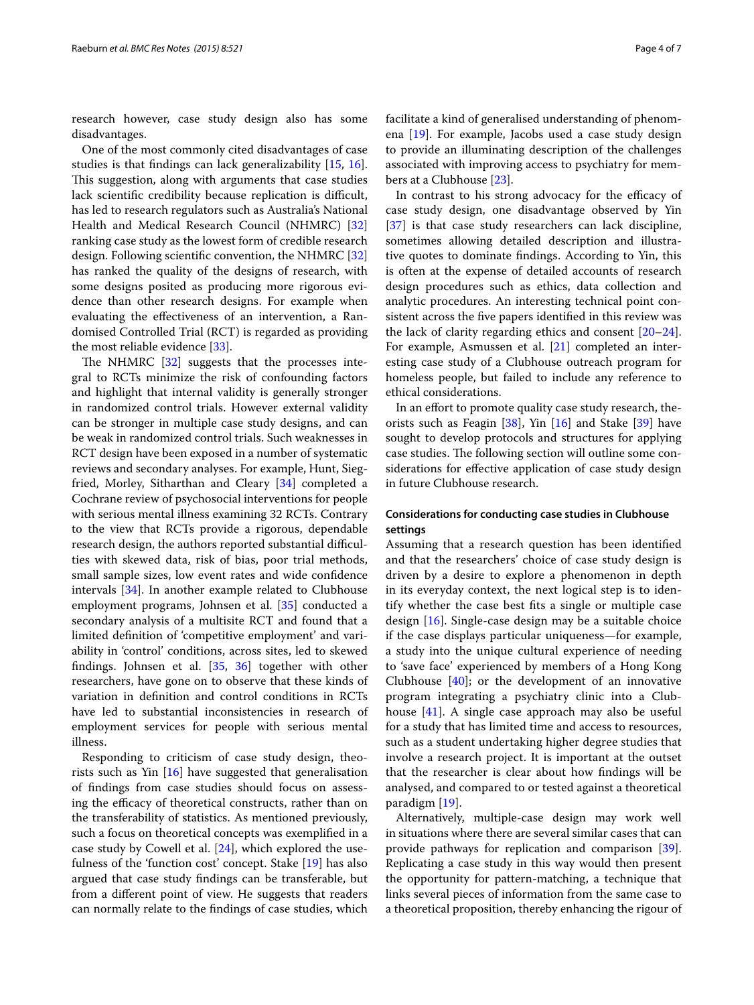research however, case study design also has some disadvantages.

One of the most commonly cited disadvantages of case studies is that findings can lack generalizability [[15,](#page-5-14) [16](#page-5-15)]. This suggestion, along with arguments that case studies lack scientific credibility because replication is difficult, has led to research regulators such as Australia's National Health and Medical Research Council (NHMRC) [[32](#page-5-29)] ranking case study as the lowest form of credible research design. Following scientific convention, the NHMRC [[32](#page-5-29)] has ranked the quality of the designs of research, with some designs posited as producing more rigorous evidence than other research designs. For example when evaluating the effectiveness of an intervention, a Randomised Controlled Trial (RCT) is regarded as providing the most reliable evidence [\[33](#page-5-30)].

The NHMRC [\[32](#page-5-29)] suggests that the processes integral to RCTs minimize the risk of confounding factors and highlight that internal validity is generally stronger in randomized control trials. However external validity can be stronger in multiple case study designs, and can be weak in randomized control trials. Such weaknesses in RCT design have been exposed in a number of systematic reviews and secondary analyses. For example, Hunt, Siegfried, Morley, Sitharthan and Cleary [[34\]](#page-5-31) completed a Cochrane review of psychosocial interventions for people with serious mental illness examining 32 RCTs. Contrary to the view that RCTs provide a rigorous, dependable research design, the authors reported substantial difficulties with skewed data, risk of bias, poor trial methods, small sample sizes, low event rates and wide confidence intervals [[34\]](#page-5-31). In another example related to Clubhouse employment programs, Johnsen et al. [\[35](#page-5-32)] conducted a secondary analysis of a multisite RCT and found that a limited definition of 'competitive employment' and variability in 'control' conditions, across sites, led to skewed findings. Johnsen et al. [[35,](#page-5-32) [36\]](#page-5-33) together with other researchers, have gone on to observe that these kinds of variation in definition and control conditions in RCTs have led to substantial inconsistencies in research of employment services for people with serious mental illness.

Responding to criticism of case study design, theorists such as Yin  $[16]$  $[16]$  have suggested that generalisation of findings from case studies should focus on assessing the efficacy of theoretical constructs, rather than on the transferability of statistics. As mentioned previously, such a focus on theoretical concepts was exemplified in a case study by Cowell et al. [\[24](#page-5-20)], which explored the usefulness of the 'function cost' concept. Stake [[19\]](#page-5-18) has also argued that case study findings can be transferable, but from a different point of view. He suggests that readers can normally relate to the findings of case studies, which facilitate a kind of generalised understanding of phenomena [\[19](#page-5-18)]. For example, Jacobs used a case study design to provide an illuminating description of the challenges associated with improving access to psychiatry for members at a Clubhouse [[23](#page-5-34)].

In contrast to his strong advocacy for the efficacy of case study design, one disadvantage observed by Yin [[37\]](#page-5-35) is that case study researchers can lack discipline, sometimes allowing detailed description and illustrative quotes to dominate findings. According to Yin, this is often at the expense of detailed accounts of research design procedures such as ethics, data collection and analytic procedures. An interesting technical point consistent across the five papers identified in this review was the lack of clarity regarding ethics and consent [[20](#page-5-19)[–24](#page-5-20)]. For example, Asmussen et al. [[21](#page-5-36)] completed an interesting case study of a Clubhouse outreach program for homeless people, but failed to include any reference to ethical considerations.

In an effort to promote quality case study research, theorists such as Feagin  $[38]$  $[38]$ , Yin  $[16]$  $[16]$  $[16]$  and Stake  $[39]$  have sought to develop protocols and structures for applying case studies. The following section will outline some considerations for effective application of case study design in future Clubhouse research.

# **Considerations for conducting case studies in Clubhouse settings**

Assuming that a research question has been identified and that the researchers' choice of case study design is driven by a desire to explore a phenomenon in depth in its everyday context, the next logical step is to identify whether the case best fits a single or multiple case design [[16\]](#page-5-15). Single-case design may be a suitable choice if the case displays particular uniqueness—for example, a study into the unique cultural experience of needing to 'save face' experienced by members of a Hong Kong Clubhouse  $[40]$  $[40]$ ; or the development of an innovative program integrating a psychiatry clinic into a Clubhouse [\[41](#page-5-40)]. A single case approach may also be useful for a study that has limited time and access to resources, such as a student undertaking higher degree studies that involve a research project. It is important at the outset that the researcher is clear about how findings will be analysed, and compared to or tested against a theoretical paradigm [[19\]](#page-5-18).

Alternatively, multiple-case design may work well in situations where there are several similar cases that can provide pathways for replication and comparison [\[39](#page-5-38)]. Replicating a case study in this way would then present the opportunity for pattern-matching, a technique that links several pieces of information from the same case to a theoretical proposition, thereby enhancing the rigour of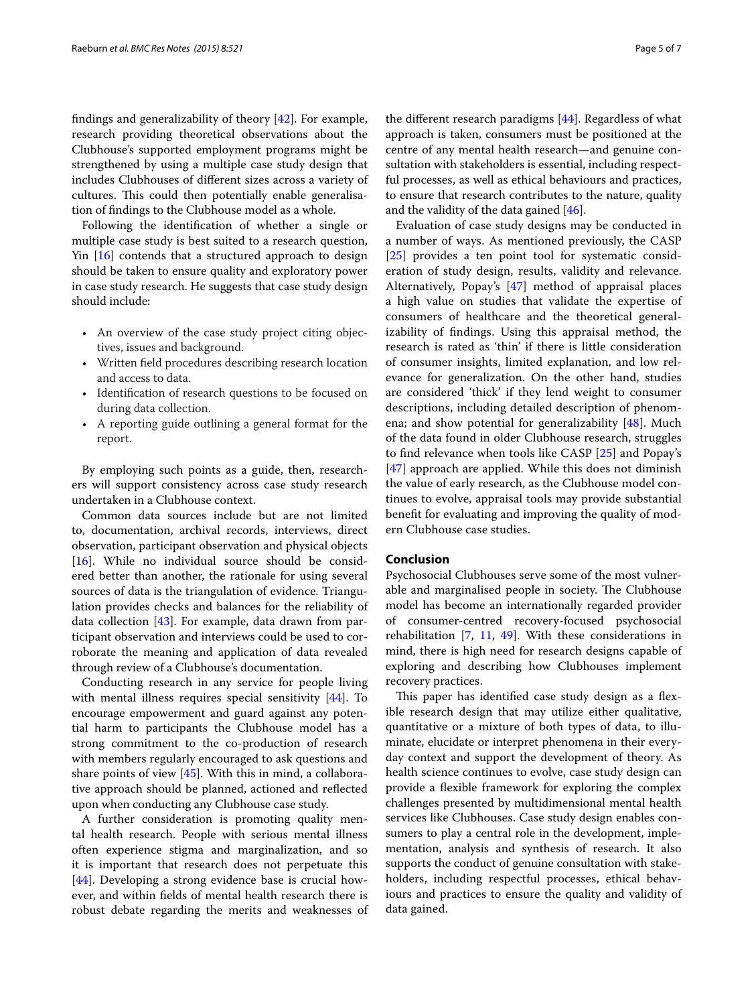findings and generalizability of theory [\[42](#page-5-41)]. For example, research providing theoretical observations about the Clubhouse's supported employment programs might be strengthened by using a multiple case study design that includes Clubhouses of different sizes across a variety of cultures. This could then potentially enable generalisation of findings to the Clubhouse model as a whole.

Following the identification of whether a single or multiple case study is best suited to a research question, Yin [\[16](#page-5-15)] contends that a structured approach to design should be taken to ensure quality and exploratory power in case study research. He suggests that case study design should include:

- •• An overview of the case study project citing objectives, issues and background.
- •• Written field procedures describing research location and access to data.
- •• Identification of research questions to be focused on during data collection.
- •• A reporting guide outlining a general format for the report.

By employing such points as a guide, then, researchers will support consistency across case study research undertaken in a Clubhouse context.

Common data sources include but are not limited to, documentation, archival records, interviews, direct observation, participant observation and physical objects [[16\]](#page-5-15). While no individual source should be considered better than another, the rationale for using several sources of data is the triangulation of evidence. Triangulation provides checks and balances for the reliability of data collection [\[43](#page-5-42)]. For example, data drawn from participant observation and interviews could be used to corroborate the meaning and application of data revealed through review of a Clubhouse's documentation.

Conducting research in any service for people living with mental illness requires special sensitivity [\[44](#page-5-43)]. To encourage empowerment and guard against any potential harm to participants the Clubhouse model has a strong commitment to the co-production of research with members regularly encouraged to ask questions and share points of view [\[45](#page-5-44)]. With this in mind, a collaborative approach should be planned, actioned and reflected upon when conducting any Clubhouse case study.

A further consideration is promoting quality mental health research. People with serious mental illness often experience stigma and marginalization, and so it is important that research does not perpetuate this [[44\]](#page-5-43). Developing a strong evidence base is crucial however, and within fields of mental health research there is robust debate regarding the merits and weaknesses of

the different research paradigms [[44\]](#page-5-43). Regardless of what approach is taken, consumers must be positioned at the centre of any mental health research—and genuine consultation with stakeholders is essential, including respectful processes, as well as ethical behaviours and practices, to ensure that research contributes to the nature, quality and the validity of the data gained [\[46\]](#page-6-0).

Evaluation of case study designs may be conducted in a number of ways. As mentioned previously, the CASP [[25\]](#page-5-21) provides a ten point tool for systematic consideration of study design, results, validity and relevance. Alternatively, Popay's [\[47](#page-6-1)] method of appraisal places a high value on studies that validate the expertise of consumers of healthcare and the theoretical generalizability of findings. Using this appraisal method, the research is rated as 'thin' if there is little consideration of consumer insights, limited explanation, and low relevance for generalization. On the other hand, studies are considered 'thick' if they lend weight to consumer descriptions, including detailed description of phenomena; and show potential for generalizability [\[48](#page-6-2)]. Much of the data found in older Clubhouse research, struggles to find relevance when tools like CASP [[25\]](#page-5-21) and Popay's [[47\]](#page-6-1) approach are applied. While this does not diminish the value of early research, as the Clubhouse model continues to evolve, appraisal tools may provide substantial benefit for evaluating and improving the quality of modern Clubhouse case studies.

## **Conclusion**

Psychosocial Clubhouses serve some of the most vulnerable and marginalised people in society. The Clubhouse model has become an internationally regarded provider of consumer-centred recovery-focused psychosocial rehabilitation [\[7](#page-5-6), [11,](#page-5-10) [49](#page-6-3)]. With these considerations in mind, there is high need for research designs capable of exploring and describing how Clubhouses implement recovery practices.

This paper has identified case study design as a flexible research design that may utilize either qualitative, quantitative or a mixture of both types of data, to illuminate, elucidate or interpret phenomena in their everyday context and support the development of theory. As health science continues to evolve, case study design can provide a flexible framework for exploring the complex challenges presented by multidimensional mental health services like Clubhouses. Case study design enables consumers to play a central role in the development, implementation, analysis and synthesis of research. It also supports the conduct of genuine consultation with stakeholders, including respectful processes, ethical behaviours and practices to ensure the quality and validity of data gained.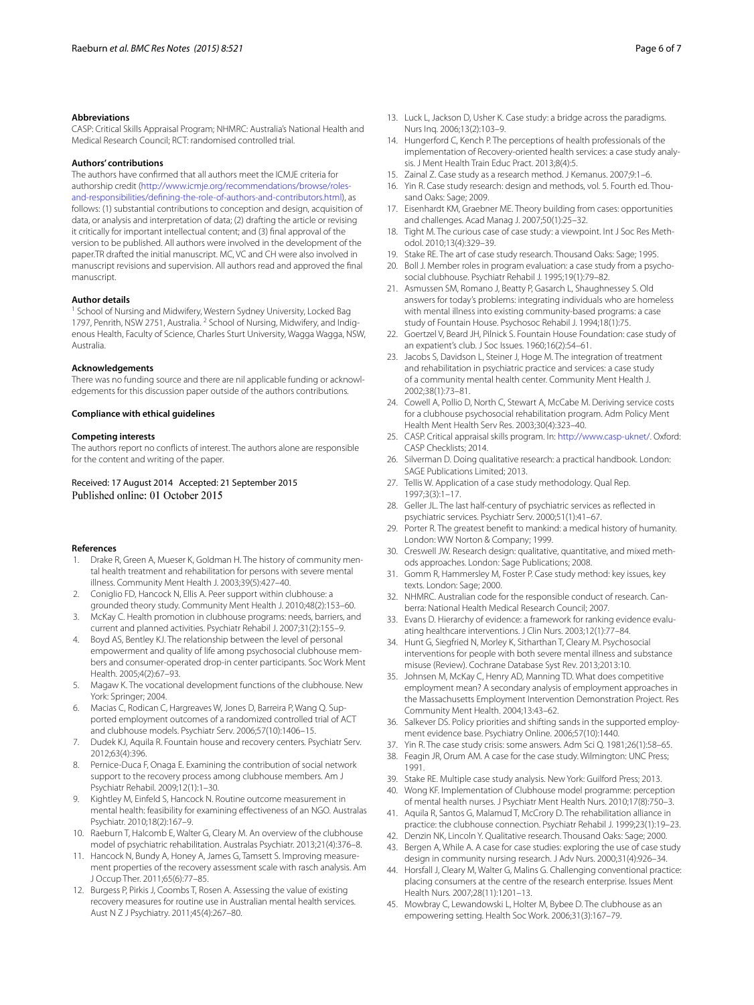#### **Abbreviations**

CASP: Critical Skills Appraisal Program; NHMRC: Australia's National Health and Medical Research Council; RCT: randomised controlled trial.

#### **Authors' contributions**

The authors have confirmed that all authors meet the ICMJE criteria for authorship credit [\(http://www.icmje.org/recommendations/browse/roles](http://www.icmje.org/recommendations/browse/roles-and-responsibilities/defining-the-role-of-authors-and-contributors.html)[and-responsibilities/defining-the-role-of-authors-and-contributors.html](http://www.icmje.org/recommendations/browse/roles-and-responsibilities/defining-the-role-of-authors-and-contributors.html)), as follows: (1) substantial contributions to conception and design, acquisition of data, or analysis and interpretation of data; (2) drafting the article or revising it critically for important intellectual content; and (3) final approval of the version to be published. All authors were involved in the development of the paper.TR drafted the initial manuscript. MC, VC and CH were also involved in manuscript revisions and supervision. All authors read and approved the final manuscript.

#### **Author details**

<sup>1</sup> School of Nursing and Midwifery, Western Sydney University, Locked Bag 1797, Penrith, NSW 2751, Australia. <sup>2</sup> School of Nursing, Midwifery, and Indigenous Health, Faculty of Science, Charles Sturt University, Wagga Wagga, NSW, Australia.

#### **Acknowledgements**

There was no funding source and there are nil applicable funding or acknowledgements for this discussion paper outside of the authors contributions.

#### **Compliance with ethical guidelines**

#### **Competing interests**

The authors report no conflicts of interest. The authors alone are responsible for the content and writing of the paper.

Received: 17 August 2014 Accepted: 21 September 2015 Published online: 01 October 2015

#### **References**

- <span id="page-5-0"></span>Drake R, Green A, Mueser K, Goldman H. The history of community mental health treatment and rehabilitation for persons with severe mental illness. Community Ment Health J. 2003;39(5):427–40.
- <span id="page-5-1"></span>2. Coniglio FD, Hancock N, Ellis A. Peer support within clubhouse: a grounded theory study. Community Ment Health J. 2010;48(2):153–60.
- <span id="page-5-2"></span>3. McKay C. Health promotion in clubhouse programs: needs, barriers, and current and planned activities. Psychiatr Rehabil J. 2007;31(2):155–9.
- <span id="page-5-3"></span>4. Boyd AS, Bentley KJ. The relationship between the level of personal empowerment and quality of life among psychosocial clubhouse members and consumer-operated drop-in center participants. Soc Work Ment Health. 2005;4(2):67–93.
- <span id="page-5-4"></span>5. Magaw K. The vocational development functions of the clubhouse. New York: Springer; 2004.
- <span id="page-5-5"></span>6. Macias C, Rodican C, Hargreaves W, Jones D, Barreira P, Wang Q. Supported employment outcomes of a randomized controlled trial of ACT and clubhouse models. Psychiatr Serv. 2006;57(10):1406–15.
- <span id="page-5-6"></span>7. Dudek KJ, Aquila R. Fountain house and recovery centers. Psychiatr Serv. 2012;63(4):396.
- <span id="page-5-7"></span>8. Pernice-Duca F, Onaga E. Examining the contribution of social network support to the recovery process among clubhouse members. Am J Psychiatr Rehabil. 2009;12(1):1–30.
- <span id="page-5-8"></span>9. Kightley M, Einfeld S, Hancock N. Routine outcome measurement in mental health: feasibility for examining effectiveness of an NGO. Australas Psychiatr. 2010;18(2):167–9.
- <span id="page-5-9"></span>10. Raeburn T, Halcomb E, Walter G, Cleary M. An overview of the clubhouse model of psychiatric rehabilitation. Australas Psychiatr. 2013;21(4):376–8.
- <span id="page-5-10"></span>11. Hancock N, Bundy A, Honey A, James G, Tamsett S. Improving measurement properties of the recovery assessment scale with rasch analysis. Am J Occup Ther. 2011;65(6):77–85.
- <span id="page-5-11"></span>12. Burgess P, Pirkis J, Coombs T, Rosen A. Assessing the value of existing recovery measures for routine use in Australian mental health services. Aust N Z J Psychiatry. 2011;45(4):267–80.
- <span id="page-5-13"></span><span id="page-5-12"></span>14. Hungerford C, Kench P. The perceptions of health professionals of the implementation of Recovery-oriented health services: a case study analysis. J Ment Health Train Educ Pract. 2013;8(4):5.
- <span id="page-5-14"></span>15. Zainal Z. Case study as a research method. J Kemanus. 2007;9:1–6.
- <span id="page-5-15"></span>16. Yin R. Case study research: design and methods, vol. 5. Fourth ed. Thousand Oaks: Sage; 2009.
- <span id="page-5-16"></span>17. Eisenhardt KM, Graebner ME. Theory building from cases: opportunities and challenges. Acad Manag J. 2007;50(1):25–32.
- <span id="page-5-17"></span>18. Tight M. The curious case of case study: a viewpoint. Int J Soc Res Methodol. 2010;13(4):329–39.
- <span id="page-5-18"></span>19. Stake RE. The art of case study research. Thousand Oaks: Sage; 1995.
- <span id="page-5-19"></span>20. Boll J. Member roles in program evaluation: a case study from a psychosocial clubhouse. Psychiatr Rehabil J. 1995;19(1):79–82.
- <span id="page-5-36"></span>21. Asmussen SM, Romano J, Beatty P, Gasarch L, Shaughnessey S. Old answers for today's problems: integrating individuals who are homeless with mental illness into existing community-based programs: a case study of Fountain House. Psychosoc Rehabil J. 1994;18(1):75.
- <span id="page-5-24"></span>22. Goertzel V, Beard JH, Pilnick S. Fountain House Foundation: case study of an expatient's club. J Soc Issues. 1960;16(2):54–61.
- <span id="page-5-34"></span>23. Jacobs S, Davidson L, Steiner J, Hoge M. The integration of treatment and rehabilitation in psychiatric practice and services: a case study of a community mental health center. Community Ment Health J. 2002;38(1):73–81.
- <span id="page-5-20"></span>24. Cowell A, Pollio D, North C, Stewart A, McCabe M. Deriving service costs for a clubhouse psychosocial rehabilitation program. Adm Policy Ment Health Ment Health Serv Res. 2003;30(4):323–40.
- <span id="page-5-21"></span>25. CASP. Critical appraisal skills program. In: [http://www.casp-uknet/.](http://www.casp-uknet/) Oxford: CASP Checklists; 2014.
- <span id="page-5-22"></span>26. Silverman D. Doing qualitative research: a practical handbook. London: SAGE Publications Limited; 2013.
- <span id="page-5-23"></span>27. Tellis W. Application of a case study methodology. Qual Rep. 1997;3(3):1–17.
- <span id="page-5-25"></span>28. Geller JL. The last half-century of psychiatric services as reflected in psychiatric services. Psychiatr Serv. 2000;51(1):41–67.
- <span id="page-5-26"></span>29. Porter R. The greatest benefit to mankind: a medical history of humanity. London: WW Norton & Company; 1999.
- <span id="page-5-27"></span>30. Creswell JW. Research design: qualitative, quantitative, and mixed methods approaches. London: Sage Publications; 2008.
- <span id="page-5-28"></span>31. Gomm R, Hammersley M, Foster P. Case study method: key issues, key texts. London: Sage; 2000.
- <span id="page-5-29"></span>32. NHMRC. Australian code for the responsible conduct of research. Canberra: National Health Medical Research Council; 2007.
- <span id="page-5-30"></span>33. Evans D. Hierarchy of evidence: a framework for ranking evidence evaluating healthcare interventions. J Clin Nurs. 2003;12(1):77–84.
- <span id="page-5-31"></span>34. Hunt G, Siegfried N, Morley K, Sitharthan T, Cleary M. Psychosocial interventions for people with both severe mental illness and substance misuse (Review). Cochrane Database Syst Rev. 2013;2013:10.
- <span id="page-5-32"></span>35. Johnsen M, McKay C, Henry AD, Manning TD. What does competitive employment mean? A secondary analysis of employment approaches in the Massachusetts Employment Intervention Demonstration Project. Res Community Ment Health. 2004;13:43–62.
- <span id="page-5-33"></span>36. Salkever DS. Policy priorities and shifting sands in the supported employment evidence base. Psychiatry Online. 2006;57(10):1440.
- <span id="page-5-35"></span>37. Yin R. The case study crisis: some answers. Adm Sci Q. 1981;26(1):58–65.
- <span id="page-5-37"></span>38. Feagin JR, Orum AM. A case for the case study. Wilmington: UNC Press; 1991.
- <span id="page-5-38"></span>39. Stake RE. Multiple case study analysis. New York: Guilford Press; 2013.
- <span id="page-5-39"></span>40. Wong KF. Implementation of Clubhouse model programme: perception of mental health nurses. J Psychiatr Ment Health Nurs. 2010;17(8):750–3.
- <span id="page-5-40"></span>41. Aquila R, Santos G, Malamud T, McCrory D. The rehabilitation alliance in practice: the clubhouse connection. Psychiatr Rehabil J. 1999;23(1):19–23.
- <span id="page-5-41"></span>42. Denzin NK, Lincoln Y. Qualitative research. Thousand Oaks: Sage; 2000.
- <span id="page-5-42"></span>43. Bergen A, While A. A case for case studies: exploring the use of case study design in community nursing research. J Adv Nurs. 2000;31(4):926–34.
- <span id="page-5-43"></span>44. Horsfall J, Cleary M, Walter G, Malins G. Challenging conventional practice: placing consumers at the centre of the research enterprise. Issues Ment Health Nurs. 2007;28(11):1201–13.
- <span id="page-5-44"></span>45. Mowbray C, Lewandowski L, Holter M, Bybee D. The clubhouse as an empowering setting. Health Soc Work. 2006;31(3):167–79.